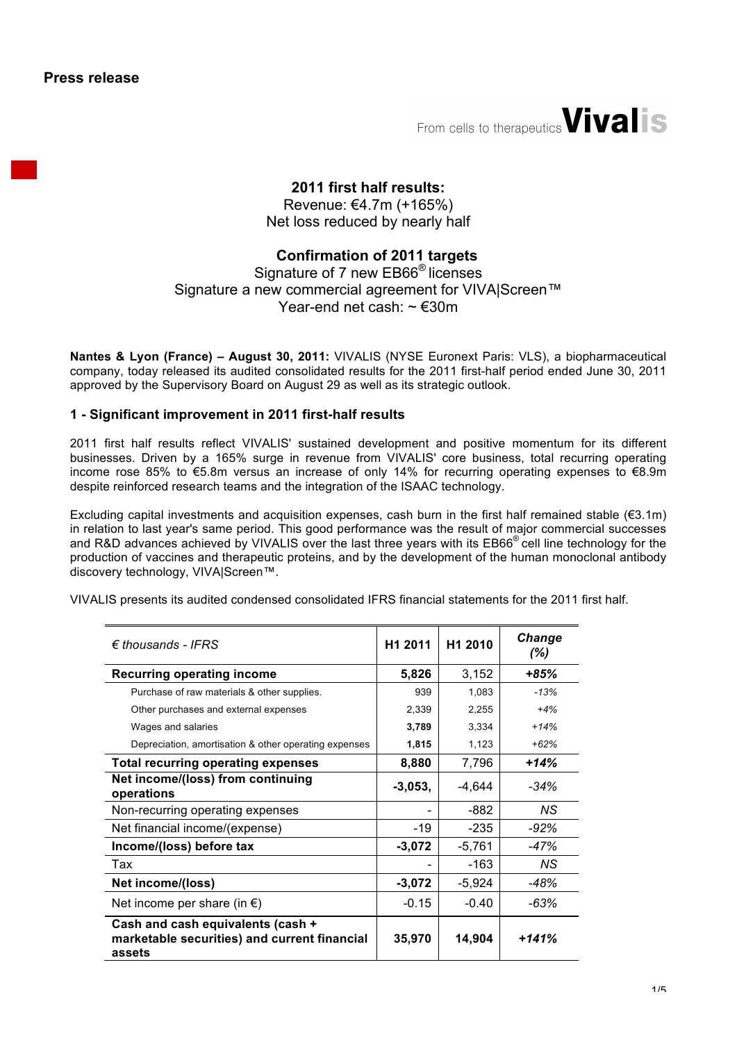**Press release**

From cells to therapeutics *Vivalis* 

# **2011 first half results:**

Revenue: €4.7m (+165%) Net loss reduced by nearly half

# **Confirmation of 2011 targets**

# Signature of 7 new EB66® licenses Signature a new commercial agreement for VIVA|Screen™ Year-end net cash: ~ €30m

**Nantes & Lyon (France) – August 30, 2011:** VIVALIS (NYSE Euronext Paris: VLS), a biopharmaceutical company, today released its audited consolidated results for the 2011 first-half period ended June 30, 2011 approved by the Supervisory Board on August 29 as well as its strategic outlook.

## **1 - Significant improvement in 2011 first-half results**

2011 first half results reflect VIVALIS' sustained development and positive momentum for its different businesses. Driven by a 165% surge in revenue from VIVALIS' core business, total recurring operating income rose 85% to €5.8m versus an increase of only 14% for recurring operating expenses to €8.9m despite reinforced research teams and the integration of the ISAAC technology.

Excluding capital investments and acquisition expenses, cash burn in the first half remained stable ( $\epsilon$ 3.1m) in relation to last year's same period. This good performance was the result of major commercial successes and R&D advances achieved by VIVALIS over the last three years with its EB66<sup>®</sup> cell line technology for the production of vaccines and therapeutic proteins, and by the development of the human monoclonal antibody discovery technology, VIVA|Screen™.

VIVALIS presents its audited condensed consolidated IFRS financial statements for the 2011 first half.

| $\epsilon$ thousands - IFRS                                                                 | H <sub>1</sub> 2011 | H1 2010  | Change<br>$(\%)$ |
|---------------------------------------------------------------------------------------------|---------------------|----------|------------------|
| <b>Recurring operating income</b>                                                           | 5,826               | 3,152    | $+85%$           |
| Purchase of raw materials & other supplies.                                                 | 939                 | 1,083    | $-13%$           |
| Other purchases and external expenses                                                       | 2,339               | 2,255    | $+4%$            |
| Wages and salaries                                                                          | 3,789               | 3,334    | $+14%$           |
| Depreciation, amortisation & other operating expenses                                       | 1,815               | 1,123    | $+62%$           |
| <b>Total recurring operating expenses</b>                                                   | 8,880               | 7,796    | $+14%$           |
| Net income/(loss) from continuing<br>operations                                             | $-3,053,$           | $-4,644$ | $-34%$           |
| Non-recurring operating expenses                                                            |                     | -882     | ΝS               |
| Net financial income/(expense)                                                              | -19                 | $-235$   | -92%             |
| Income/(loss) before tax                                                                    | $-3,072$            | $-5,761$ | -47%             |
| Tax                                                                                         |                     | -163     | ΝS               |
| Net income/(loss)                                                                           | $-3,072$            | $-5,924$ | -48%             |
| Net income per share (in $\epsilon$ )                                                       | $-0.15$             | $-0.40$  | $-63%$           |
| Cash and cash equivalents (cash +<br>marketable securities) and current financial<br>assets | 35,970              | 14,904   | $+141%$          |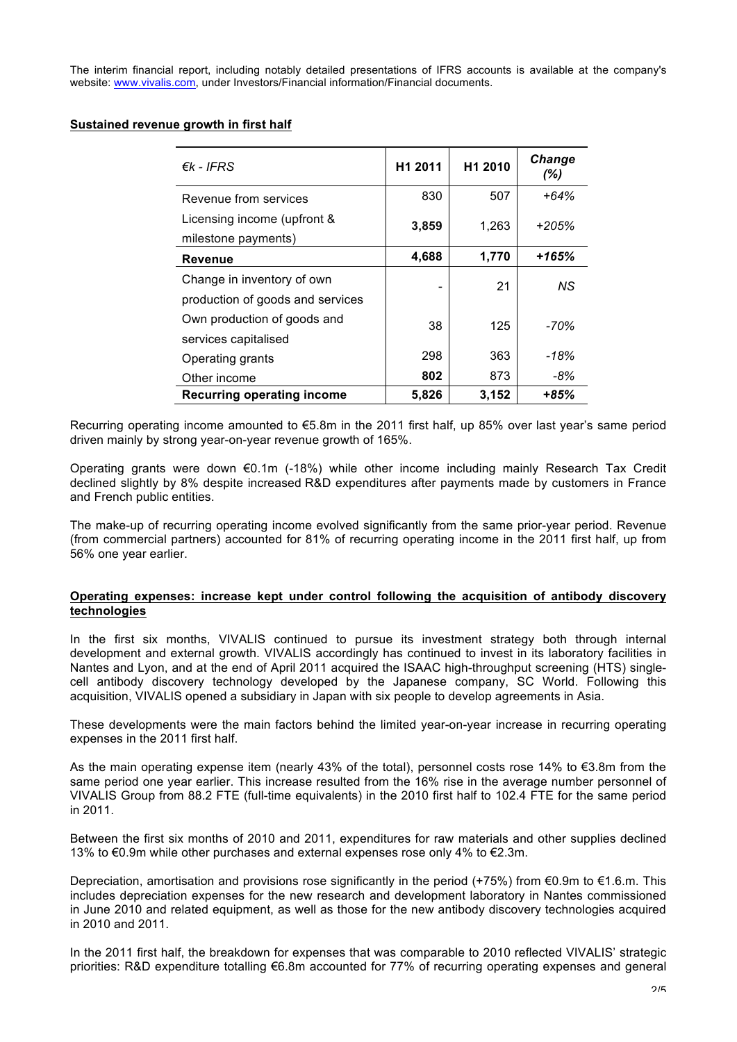The interim financial report, including notably detailed presentations of IFRS accounts is available at the company's website: www.vivalis.com, under Investors/Financial information/Financial documents.

#### **Sustained revenue growth in first half**

| $\epsilon$ k - IFRS                                            | H1 2011 | H <sub>1</sub> 2010 | <b>Change</b><br>(%) |
|----------------------------------------------------------------|---------|---------------------|----------------------|
| Revenue from services                                          | 830     | 507                 | $+64%$               |
| Licensing income (upfront &<br>milestone payments)             | 3,859   | 1,263               | $+205%$              |
| <b>Revenue</b>                                                 | 4,688   | 1,770               | +165%                |
| Change in inventory of own<br>production of goods and services |         | 21                  | ΝS                   |
| Own production of goods and<br>services capitalised            | 38      | 125                 | -70%                 |
| Operating grants                                               | 298     | 363                 | -18%                 |
| Other income                                                   | 802     | 873                 | -8%                  |
| <b>Recurring operating income</b>                              | 5,826   | 3,152               | $+85%$               |

Recurring operating income amounted to €5.8m in the 2011 first half, up 85% over last year's same period driven mainly by strong year-on-year revenue growth of 165%.

Operating grants were down €0.1m (-18%) while other income including mainly Research Tax Credit declined slightly by 8% despite increased R&D expenditures after payments made by customers in France and French public entities.

The make-up of recurring operating income evolved significantly from the same prior-year period. Revenue (from commercial partners) accounted for 81% of recurring operating income in the 2011 first half, up from 56% one year earlier.

#### **Operating expenses: increase kept under control following the acquisition of antibody discovery technologies**

In the first six months, VIVALIS continued to pursue its investment strategy both through internal development and external growth. VIVALIS accordingly has continued to invest in its laboratory facilities in Nantes and Lyon, and at the end of April 2011 acquired the ISAAC high-throughput screening (HTS) singlecell antibody discovery technology developed by the Japanese company, SC World. Following this acquisition, VIVALIS opened a subsidiary in Japan with six people to develop agreements in Asia.

These developments were the main factors behind the limited year-on-year increase in recurring operating expenses in the 2011 first half.

As the main operating expense item (nearly 43% of the total), personnel costs rose 14% to €3.8m from the same period one year earlier. This increase resulted from the 16% rise in the average number personnel of VIVALIS Group from 88.2 FTE (full-time equivalents) in the 2010 first half to 102.4 FTE for the same period in 2011.

Between the first six months of 2010 and 2011, expenditures for raw materials and other supplies declined 13% to €0.9m while other purchases and external expenses rose only 4% to €2.3m.

Depreciation, amortisation and provisions rose significantly in the period (+75%) from €0.9m to €1.6.m. This includes depreciation expenses for the new research and development laboratory in Nantes commissioned in June 2010 and related equipment, as well as those for the new antibody discovery technologies acquired in 2010 and 2011.

In the 2011 first half, the breakdown for expenses that was comparable to 2010 reflected VIVALIS' strategic priorities: R&D expenditure totalling €6.8m accounted for 77% of recurring operating expenses and general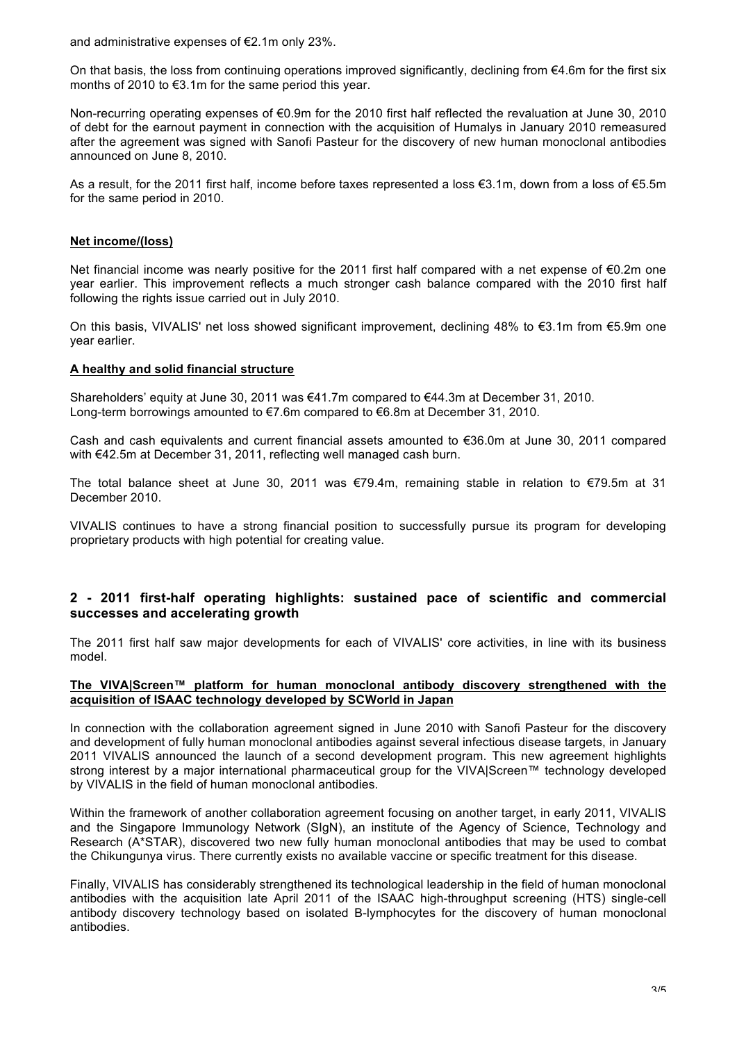and administrative expenses of €2.1m only 23%.

On that basis, the loss from continuing operations improved significantly, declining from  $\epsilon$ 4.6m for the first six months of 2010 to €3.1m for the same period this year.

Non-recurring operating expenses of €0.9m for the 2010 first half reflected the revaluation at June 30, 2010 of debt for the earnout payment in connection with the acquisition of Humalys in January 2010 remeasured after the agreement was signed with Sanofi Pasteur for the discovery of new human monoclonal antibodies announced on June 8, 2010.

As a result, for the 2011 first half, income before taxes represented a loss €3.1m, down from a loss of €5.5m for the same period in 2010.

#### **Net income/(loss)**

Net financial income was nearly positive for the 2011 first half compared with a net expense of €0.2m one year earlier. This improvement reflects a much stronger cash balance compared with the 2010 first half following the rights issue carried out in July 2010.

On this basis, VIVALIS' net loss showed significant improvement, declining 48% to €3.1m from €5.9m one year earlier.

#### **A healthy and solid financial structure**

Shareholders' equity at June 30, 2011 was €41.7m compared to €44.3m at December 31, 2010. Long-term borrowings amounted to €7.6m compared to €6.8m at December 31, 2010.

Cash and cash equivalents and current financial assets amounted to €36.0m at June 30, 2011 compared with €42.5m at December 31, 2011, reflecting well managed cash burn.

The total balance sheet at June 30, 2011 was €79.4m, remaining stable in relation to €79.5m at 31 December 2010.

VIVALIS continues to have a strong financial position to successfully pursue its program for developing proprietary products with high potential for creating value.

## **2 - 2011 first-half operating highlights: sustained pace of scientific and commercial successes and accelerating growth**

The 2011 first half saw major developments for each of VIVALIS' core activities, in line with its business model.

#### **The VIVA|Screen™ platform for human monoclonal antibody discovery strengthened with the acquisition of ISAAC technology developed by SCWorld in Japan**

In connection with the collaboration agreement signed in June 2010 with Sanofi Pasteur for the discovery and development of fully human monoclonal antibodies against several infectious disease targets, in January 2011 VIVALIS announced the launch of a second development program. This new agreement highlights strong interest by a major international pharmaceutical group for the VIVA|Screen™ technology developed by VIVALIS in the field of human monoclonal antibodies.

Within the framework of another collaboration agreement focusing on another target, in early 2011, VIVALIS and the Singapore Immunology Network (SIgN), an institute of the Agency of Science, Technology and Research (A\*STAR), discovered two new fully human monoclonal antibodies that may be used to combat the Chikungunya virus. There currently exists no available vaccine or specific treatment for this disease.

Finally, VIVALIS has considerably strengthened its technological leadership in the field of human monoclonal antibodies with the acquisition late April 2011 of the ISAAC high-throughput screening (HTS) single-cell antibody discovery technology based on isolated B-lymphocytes for the discovery of human monoclonal antibodies.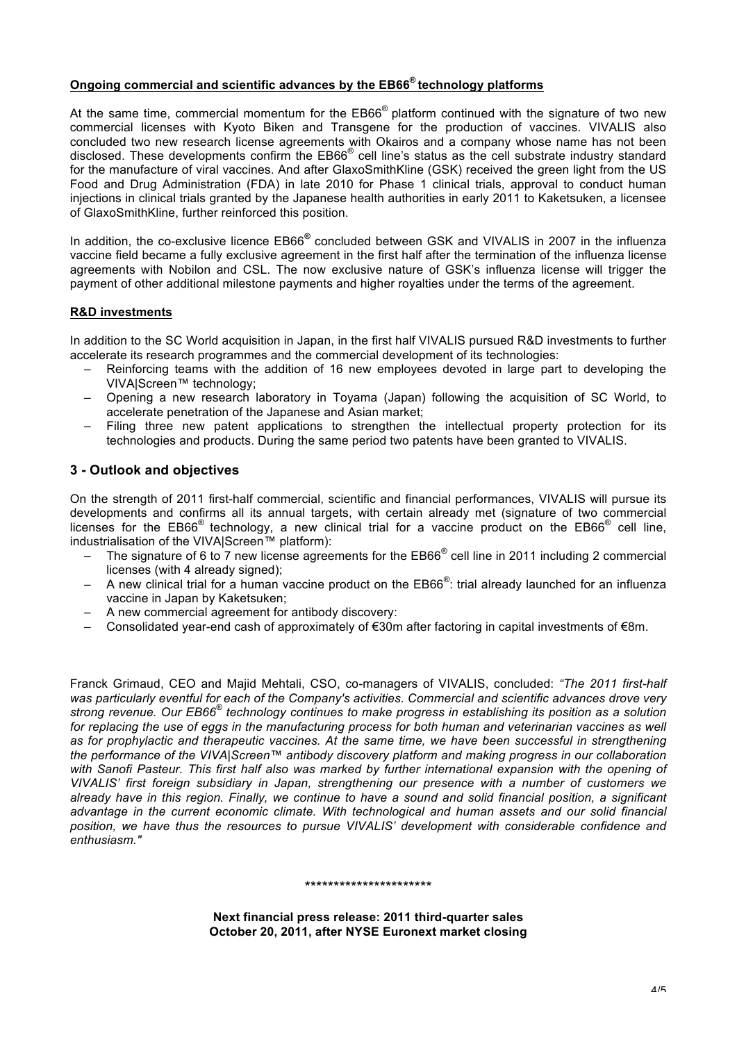## **Ongoing commercial and scientific advances by the EB66® technology platforms**

At the same time, commercial momentum for the  $EB66<sup>®</sup>$  platform continued with the signature of two new commercial licenses with Kyoto Biken and Transgene for the production of vaccines. VIVALIS also concluded two new research license agreements with Okairos and a company whose name has not been disclosed. These developments confirm the EB66® cell line's status as the cell substrate industry standard for the manufacture of viral vaccines. And after GlaxoSmithKline (GSK) received the green light from the US Food and Drug Administration (FDA) in late 2010 for Phase 1 clinical trials, approval to conduct human injections in clinical trials granted by the Japanese health authorities in early 2011 to Kaketsuken, a licensee of GlaxoSmithKline, further reinforced this position.

In addition, the co-exclusive licence EB66*®* concluded between GSK and VIVALIS in 2007 in the influenza vaccine field became a fully exclusive agreement in the first half after the termination of the influenza license agreements with Nobilon and CSL. The now exclusive nature of GSK's influenza license will trigger the payment of other additional milestone payments and higher royalties under the terms of the agreement.

#### **R&D investments**

In addition to the SC World acquisition in Japan, in the first half VIVALIS pursued R&D investments to further accelerate its research programmes and the commercial development of its technologies:

- Reinforcing teams with the addition of 16 new employees devoted in large part to developing the VIVA|Screen™ technology;
- Opening a new research laboratory in Toyama (Japan) following the acquisition of SC World, to accelerate penetration of the Japanese and Asian market;
- Filing three new patent applications to strengthen the intellectual property protection for its technologies and products. During the same period two patents have been granted to VIVALIS.

## **3 - Outlook and objectives**

On the strength of 2011 first-half commercial, scientific and financial performances, VIVALIS will pursue its developments and confirms all its annual targets, with certain already met (signature of two commercial licenses for the  $EB66^{\circ}$  technology, a new clinical trial for a vaccine product on the  $EB66^{\circ}$  cell line, industrialisation of the VIVA|Screen™ platform):

- The signature of 6 to 7 new license agreements for the EB66<sup>®</sup> cell line in 2011 including 2 commercial licenses (with 4 already signed):
- $-$  A new clinical trial for a human vaccine product on the EB66<sup>®</sup>: trial already launched for an influenza vaccine in Japan by Kaketsuken;
- A new commercial agreement for antibody discovery:
- Consolidated year-end cash of approximately of €30m after factoring in capital investments of €8m.

Franck Grimaud, CEO and Majid Mehtali, CSO, co-managers of VIVALIS, concluded: *"The 2011 first-half was particularly eventful for each of the Company's activities. Commercial and scientific advances drove very strong revenue. Our EB66® technology continues to make progress in establishing its position as a solution*  for replacing the use of eggs in the manufacturing process for both human and veterinarian vaccines as well *as for prophylactic and therapeutic vaccines. At the same time, we have been successful in strengthening the performance of the VIVA|Screen™ antibody discovery platform and making progress in our collaboration*  with Sanofi Pasteur. This first half also was marked by further international expansion with the opening of *VIVALIS' first foreign subsidiary in Japan, strengthening our presence with a number of customers we already have in this region. Finally, we continue to have a sound and solid financial position, a significant advantage in the current economic climate. With technological and human assets and our solid financial position, we have thus the resources to pursue VIVALIS' development with considerable confidence and enthusiasm."*

#### \*\*\*\*\*\*\*\*\*\*\*\*\*\*\*\*\*\*\*\*\*\*

**Next financial press release: 2011 third-quarter sales October 20, 2011, after NYSE Euronext market closing**